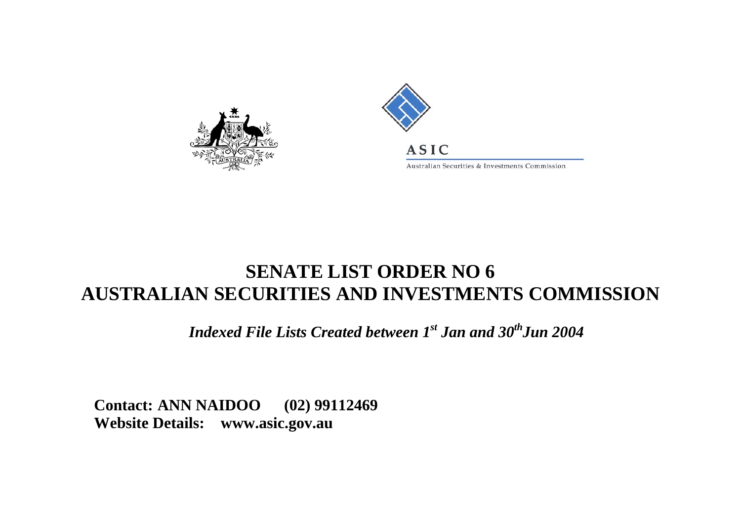



Australian Securities & Investments Commission

## **SENATE LIST ORDER NO 6AUSTRALIAN SECURITIES AND INVESTMENTS COMMISSION**

*Indexed File Lists Created between 1st Jan and 30<sup>th</sup>Jun 2004* 

**Contact: ANN NAIDOO (02) 99112469 Website Details: [www.asic.gov.au](http://www.asic.gov.au/asic/asic.nsf/byid/CA256AE90002F4BFCA256AFB007AB8C1?opendocument)**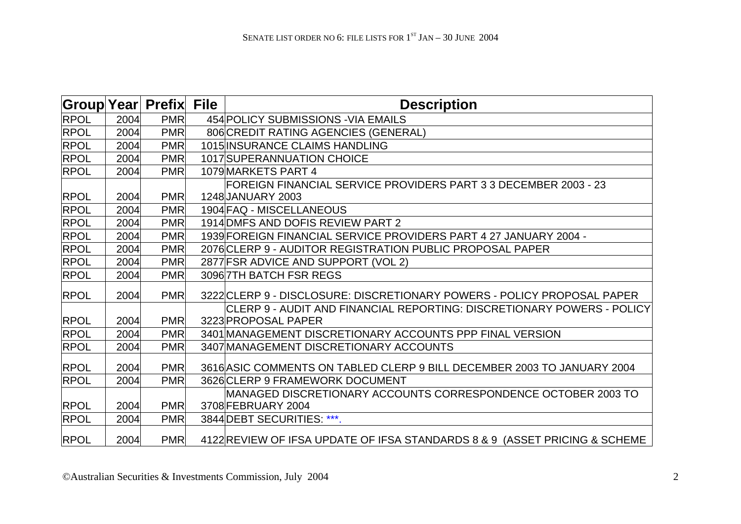| Group Year  |      | <b>Prefix</b> | <b>File</b> | <b>Description</b>                                                                            |
|-------------|------|---------------|-------------|-----------------------------------------------------------------------------------------------|
| <b>RPOL</b> | 2004 | <b>PMR</b>    |             | 454 POLICY SUBMISSIONS - VIA EMAILS                                                           |
| <b>RPOL</b> | 2004 | <b>PMR</b>    |             | 806 CREDIT RATING AGENCIES (GENERAL)                                                          |
| <b>RPOL</b> | 2004 | <b>PMR</b>    |             | <b>1015 INSURANCE CLAIMS HANDLING</b>                                                         |
| <b>RPOL</b> | 2004 | <b>PMR</b>    |             | 1017 SUPERANNUATION CHOICE                                                                    |
| <b>RPOL</b> | 2004 | <b>PMR</b>    |             | 1079 MARKETS PART 4                                                                           |
|             |      |               |             | FOREIGN FINANCIAL SERVICE PROVIDERS PART 3 3 DECEMBER 2003 - 23                               |
| <b>RPOL</b> | 2004 | <b>PMR</b>    |             | 1248 JANUARY 2003                                                                             |
| <b>RPOL</b> | 2004 | <b>PMR</b>    |             | 1904 FAQ - MISCELLANEOUS                                                                      |
| <b>RPOL</b> | 2004 | <b>PMR</b>    |             | 1914 DMFS AND DOFIS REVIEW PART 2                                                             |
| <b>RPOL</b> | 2004 | <b>PMR</b>    |             | 1939 FOREIGN FINANCIAL SERVICE PROVIDERS PART 4 27 JANUARY 2004 -                             |
| <b>RPOL</b> | 2004 | <b>PMR</b>    |             | 2076 CLERP 9 - AUDITOR REGISTRATION PUBLIC PROPOSAL PAPER                                     |
| <b>RPOL</b> | 2004 | <b>PMR</b>    |             | 2877 FSR ADVICE AND SUPPORT (VOL 2)                                                           |
| <b>RPOL</b> | 2004 | <b>PMR</b>    |             | 3096 7TH BATCH FSR REGS                                                                       |
| <b>RPOL</b> | 2004 | <b>PMR</b>    |             | 3222 CLERP 9 - DISCLOSURE: DISCRETIONARY POWERS - POLICY PROPOSAL PAPER                       |
| <b>RPOL</b> | 2004 | <b>PMR</b>    |             | CLERP 9 - AUDIT AND FINANCIAL REPORTING: DISCRETIONARY POWERS - POLICY<br>3223 PROPOSAL PAPER |
| <b>RPOL</b> | 2004 | <b>PMR</b>    |             | 3401 MANAGEMENT DISCRETIONARY ACCOUNTS PPP FINAL VERSION                                      |
| <b>RPOL</b> | 2004 | <b>PMR</b>    |             | 3407 MANAGEMENT DISCRETIONARY ACCOUNTS                                                        |
| <b>RPOL</b> | 2004 | <b>PMR</b>    |             | 3616 ASIC COMMENTS ON TABLED CLERP 9 BILL DECEMBER 2003 TO JANUARY 2004                       |
| <b>RPOL</b> | 2004 | <b>PMR</b>    |             | 3626 CLERP 9 FRAMEWORK DOCUMENT                                                               |
| <b>RPOL</b> | 2004 | <b>PMR</b>    |             | MANAGED DISCRETIONARY ACCOUNTS CORRESPONDENCE OCTOBER 2003 TO<br>3708 FEBRUARY 2004           |
| <b>RPOL</b> | 2004 | <b>PMR</b>    |             | 3844 DEBT SECURITIES: ***.                                                                    |
| <b>RPOL</b> | 2004 | <b>PMR</b>    |             | 4122 REVIEW OF IFSA UPDATE OF IFSA STANDARDS 8 & 9 (ASSET PRICING & SCHEME                    |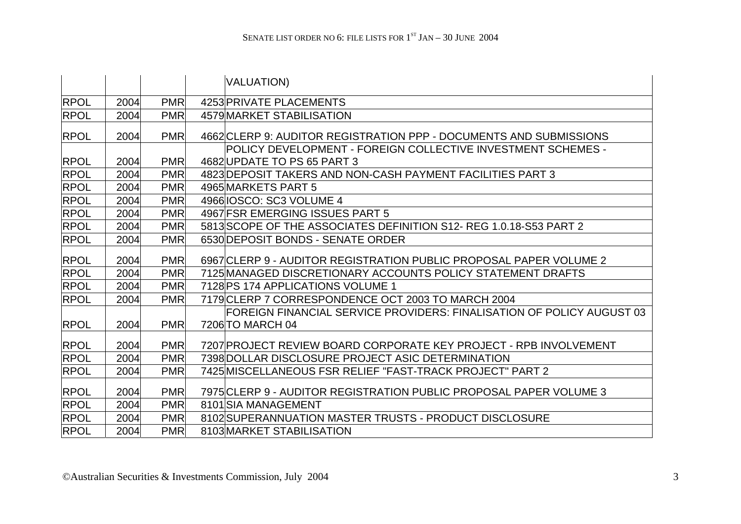|             |      |            | VALUATION)                                                                                         |
|-------------|------|------------|----------------------------------------------------------------------------------------------------|
| <b>RPOL</b> | 2004 | <b>PMR</b> | 4253 PRIVATE PLACEMENTS                                                                            |
| <b>RPOL</b> | 2004 | <b>PMR</b> | 4579 MARKET STABILISATION                                                                          |
| <b>RPOL</b> | 2004 | <b>PMR</b> | 4662 CLERP 9: AUDITOR REGISTRATION PPP - DOCUMENTS AND SUBMISSIONS                                 |
| <b>RPOL</b> | 2004 | <b>PMR</b> | <b>POLICY DEVELOPMENT - FOREIGN COLLECTIVE INVESTMENT SCHEMES -</b><br>4682 UPDATE TO PS 65 PART 3 |
| <b>RPOL</b> | 2004 | <b>PMR</b> | 4823 DEPOSIT TAKERS AND NON-CASH PAYMENT FACILITIES PART 3                                         |
| <b>RPOL</b> | 2004 | <b>PMR</b> | 4965 MARKETS PART 5                                                                                |
| <b>RPOL</b> | 2004 | <b>PMR</b> | 4966 IOSCO: SC3 VOLUME 4                                                                           |
| <b>RPOL</b> | 2004 | <b>PMR</b> | 4967 FSR EMERGING ISSUES PART 5                                                                    |
| <b>RPOL</b> | 2004 | <b>PMR</b> | 5813 SCOPE OF THE ASSOCIATES DEFINITION S12-REG 1.0.18-S53 PART 2                                  |
| <b>RPOL</b> | 2004 | <b>PMR</b> | 6530 DEPOSIT BONDS - SENATE ORDER                                                                  |
| <b>RPOL</b> | 2004 | <b>PMR</b> | 6967 CLERP 9 - AUDITOR REGISTRATION PUBLIC PROPOSAL PAPER VOLUME 2                                 |
| <b>RPOL</b> | 2004 | <b>PMR</b> | 7125 MANAGED DISCRETIONARY ACCOUNTS POLICY STATEMENT DRAFTS                                        |
| <b>RPOL</b> | 2004 | <b>PMR</b> | 7128 PS 174 APPLICATIONS VOLUME 1                                                                  |
| <b>RPOL</b> | 2004 | <b>PMR</b> | 7179 CLERP 7 CORRESPONDENCE OCT 2003 TO MARCH 2004                                                 |
| <b>RPOL</b> | 2004 | <b>PMR</b> | FOREIGN FINANCIAL SERVICE PROVIDERS: FINALISATION OF POLICY AUGUST 03<br>7206 TO MARCH 04          |
| <b>RPOL</b> | 2004 | <b>PMR</b> | 7207 PROJECT REVIEW BOARD CORPORATE KEY PROJECT - RPB INVOLVEMENT                                  |
| <b>RPOL</b> | 2004 | <b>PMR</b> | 7398 DOLLAR DISCLOSURE PROJECT ASIC DETERMINATION                                                  |
| <b>RPOL</b> | 2004 | <b>PMR</b> | 7425 MISCELLANEOUS FSR RELIEF "FAST-TRACK PROJECT" PART 2                                          |
| <b>RPOL</b> | 2004 | <b>PMR</b> | 7975 CLERP 9 - AUDITOR REGISTRATION PUBLIC PROPOSAL PAPER VOLUME 3                                 |
| <b>RPOL</b> | 2004 | <b>PMR</b> | 8101 SIA MANAGEMENT                                                                                |
| <b>RPOL</b> | 2004 | <b>PMR</b> | 8102 SUPERANNUATION MASTER TRUSTS - PRODUCT DISCLOSURE                                             |
| <b>RPOL</b> | 2004 | <b>PMR</b> | 8103 MARKET STABILISATION                                                                          |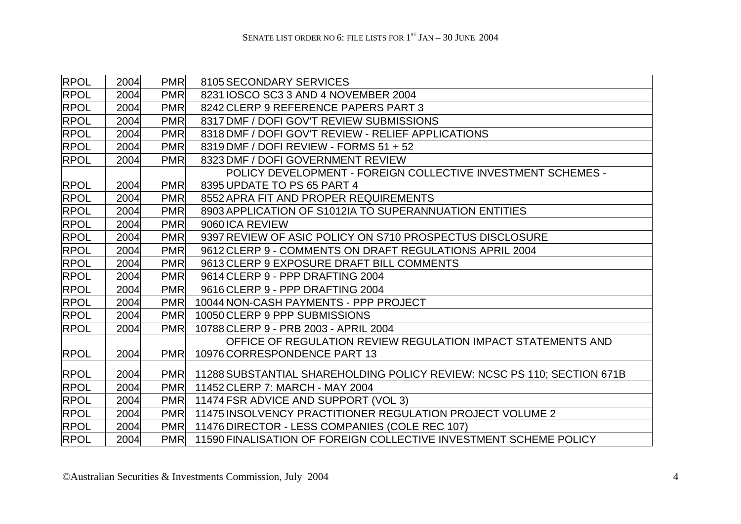| <b>RPOL</b> | 2004 | <b>PMR</b> | 8105 SECONDARY SERVICES                                                 |
|-------------|------|------------|-------------------------------------------------------------------------|
| <b>RPOL</b> | 2004 | <b>PMR</b> | 8231 IOSCO SC3 3 AND 4 NOVEMBER 2004                                    |
| <b>RPOL</b> | 2004 | <b>PMR</b> | 8242 CLERP 9 REFERENCE PAPERS PART 3                                    |
| <b>RPOL</b> | 2004 | <b>PMR</b> | 8317 DMF / DOFI GOV'T REVIEW SUBMISSIONS                                |
| <b>RPOL</b> | 2004 | <b>PMR</b> | 8318 DMF / DOFI GOV'T REVIEW - RELIEF APPLICATIONS                      |
| <b>RPOL</b> | 2004 | <b>PMR</b> | 8319 DMF / DOFI REVIEW - FORMS 51 + 52                                  |
| <b>RPOL</b> | 2004 | <b>PMR</b> | 8323 DMF / DOFI GOVERNMENT REVIEW                                       |
|             |      |            | POLICY DEVELOPMENT - FOREIGN COLLECTIVE INVESTMENT SCHEMES -            |
| <b>RPOL</b> | 2004 | <b>PMR</b> | 8395 UPDATE TO PS 65 PART 4                                             |
| <b>RPOL</b> | 2004 | <b>PMR</b> | 8552 APRA FIT AND PROPER REQUIREMENTS                                   |
| <b>RPOL</b> | 2004 | <b>PMR</b> | 8903 APPLICATION OF S1012IA TO SUPERANNUATION ENTITIES                  |
| <b>RPOL</b> | 2004 | <b>PMR</b> | 9060 ICA REVIEW                                                         |
| <b>RPOL</b> | 2004 | <b>PMR</b> | 9397 REVIEW OF ASIC POLICY ON S710 PROSPECTUS DISCLOSURE                |
| <b>RPOL</b> | 2004 | <b>PMR</b> | 9612 CLERP 9 - COMMENTS ON DRAFT REGULATIONS APRIL 2004                 |
| <b>RPOL</b> | 2004 | <b>PMR</b> | 9613 CLERP 9 EXPOSURE DRAFT BILL COMMENTS                               |
| <b>RPOL</b> | 2004 | <b>PMR</b> | 9614 CLERP 9 - PPP DRAFTING 2004                                        |
| <b>RPOL</b> | 2004 | <b>PMR</b> | 9616 CLERP 9 - PPP DRAFTING 2004                                        |
| <b>RPOL</b> | 2004 | <b>PMR</b> | 10044 NON-CASH PAYMENTS - PPP PROJECT                                   |
| <b>RPOL</b> | 2004 | <b>PMR</b> | 10050 CLERP 9 PPP SUBMISSIONS                                           |
| <b>RPOL</b> | 2004 | <b>PMR</b> | 10788 CLERP 9 - PRB 2003 - APRIL 2004                                   |
|             |      |            | OFFICE OF REGULATION REVIEW REGULATION IMPACT STATEMENTS AND            |
| <b>RPOL</b> | 2004 | <b>PMR</b> | 10976 CORRESPONDENCE PART 13                                            |
| <b>RPOL</b> | 2004 | <b>PMR</b> | 11288 SUBSTANTIAL SHAREHOLDING POLICY REVIEW: NCSC PS 110; SECTION 671B |
| <b>RPOL</b> | 2004 | <b>PMR</b> | 11452 CLERP 7: MARCH - MAY 2004                                         |
| <b>RPOL</b> | 2004 | <b>PMR</b> | 11474 FSR ADVICE AND SUPPORT (VOL 3)                                    |
| <b>RPOL</b> | 2004 | <b>PMR</b> | 11475 INSOLVENCY PRACTITIONER REGULATION PROJECT VOLUME 2               |
| <b>RPOL</b> | 2004 | <b>PMR</b> | 11476 DIRECTOR - LESS COMPANIES (COLE REC 107)                          |
| <b>RPOL</b> | 2004 | <b>PMR</b> | 11590 FINALISATION OF FOREIGN COLLECTIVE INVESTMENT SCHEME POLICY       |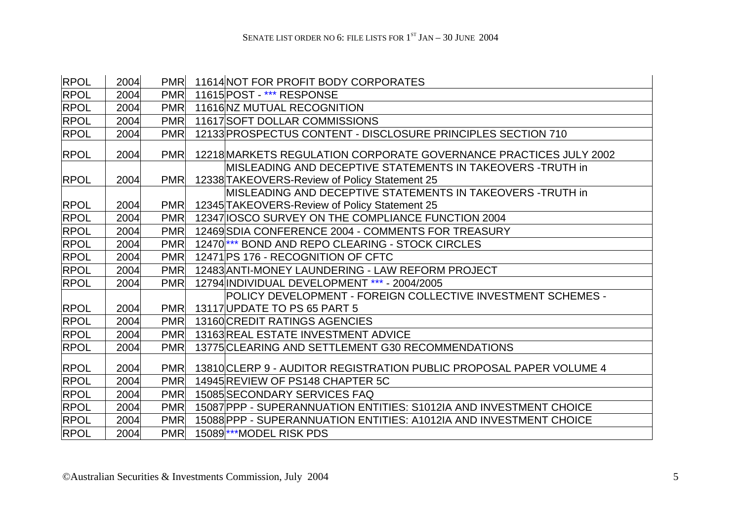| <b>RPOL</b> | 2004 | <b>PMR</b> | 11614 NOT FOR PROFIT BODY CORPORATES                                                                        |
|-------------|------|------------|-------------------------------------------------------------------------------------------------------------|
| <b>RPOL</b> | 2004 | <b>PMR</b> | 11615 POST - *** RESPONSE                                                                                   |
| <b>RPOL</b> | 2004 | <b>PMR</b> | 11616 NZ MUTUAL RECOGNITION                                                                                 |
| <b>RPOL</b> | 2004 | <b>PMR</b> | 11617 SOFT DOLLAR COMMISSIONS                                                                               |
| <b>RPOL</b> | 2004 | <b>PMR</b> | 12133 PROSPECTUS CONTENT - DISCLOSURE PRINCIPLES SECTION 710                                                |
| <b>RPOL</b> | 2004 | <b>PMR</b> | 12218 MARKETS REGULATION CORPORATE GOVERNANCE PRACTICES JULY 2002                                           |
| <b>RPOL</b> | 2004 | <b>PMR</b> | MISLEADING AND DECEPTIVE STATEMENTS IN TAKEOVERS -TRUTH in<br>12338 TAKEOVERS-Review of Policy Statement 25 |
|             |      |            | MISLEADING AND DECEPTIVE STATEMENTS IN TAKEOVERS -TRUTH in                                                  |
| <b>RPOL</b> | 2004 | <b>PMR</b> | 12345 TAKEOVERS-Review of Policy Statement 25                                                               |
| <b>RPOL</b> | 2004 | <b>PMR</b> | 12347 IOSCO SURVEY ON THE COMPLIANCE FUNCTION 2004                                                          |
| <b>RPOL</b> | 2004 | <b>PMR</b> | 12469 SDIA CONFERENCE 2004 - COMMENTS FOR TREASURY                                                          |
| <b>RPOL</b> | 2004 | <b>PMR</b> | 12470 <sup>***</sup> BOND AND REPO CLEARING - STOCK CIRCLES                                                 |
| <b>RPOL</b> | 2004 | <b>PMR</b> | 12471 PS 176 - RECOGNITION OF CFTC                                                                          |
| <b>RPOL</b> | 2004 | <b>PMR</b> | 12483 ANTI-MONEY LAUNDERING - LAW REFORM PROJECT                                                            |
| <b>RPOL</b> | 2004 | <b>PMR</b> | 12794 INDIVIDUAL DEVELOPMENT *** - 2004/2005                                                                |
| <b>RPOL</b> | 2004 | <b>PMR</b> | POLICY DEVELOPMENT - FOREIGN COLLECTIVE INVESTMENT SCHEMES -<br>13117 UPDATE TO PS 65 PART 5                |
| <b>RPOL</b> | 2004 | <b>PMR</b> | 13160 CREDIT RATINGS AGENCIES                                                                               |
| <b>RPOL</b> | 2004 | <b>PMR</b> | 13163 REAL ESTATE INVESTMENT ADVICE                                                                         |
| <b>RPOL</b> | 2004 | <b>PMR</b> | 13775 CLEARING AND SETTLEMENT G30 RECOMMENDATIONS                                                           |
| <b>RPOL</b> | 2004 | <b>PMR</b> | 13810 CLERP 9 - AUDITOR REGISTRATION PUBLIC PROPOSAL PAPER VOLUME 4                                         |
| <b>RPOL</b> | 2004 | <b>PMR</b> | 14945 REVIEW OF PS148 CHAPTER 5C                                                                            |
| <b>RPOL</b> | 2004 | <b>PMR</b> | 15085 SECONDARY SERVICES FAQ                                                                                |
| <b>RPOL</b> | 2004 | <b>PMR</b> | 15087 PPP - SUPERANNUATION ENTITIES: S1012IA AND INVESTMENT CHOICE                                          |
| <b>RPOL</b> | 2004 | <b>PMR</b> | 15088 PPP - SUPERANNUATION ENTITIES: A1012 IA AND INVESTMENT CHOICE                                         |
| <b>RPOL</b> | 2004 | <b>PMR</b> | 15089 <sup>***</sup> MODEL RISK PDS                                                                         |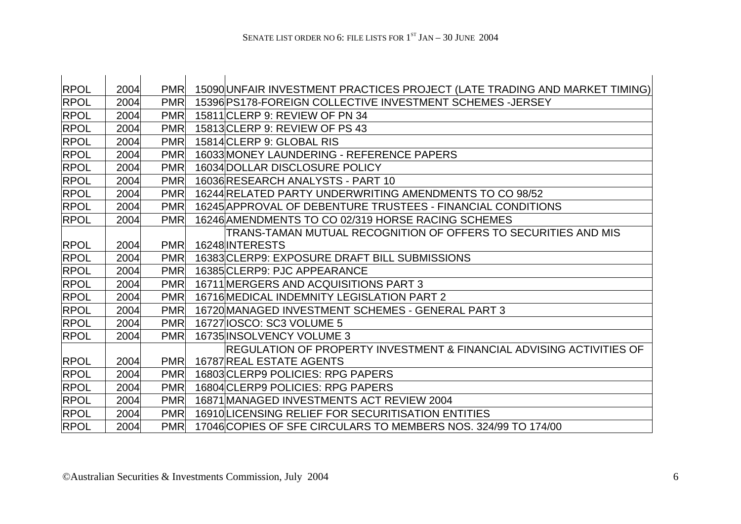| <b>RPOL</b> | 2004 | <b>PMR</b> | 15090 UNFAIR INVESTMENT PRACTICES PROJECT (LATE TRADING AND MARKET TIMING) |
|-------------|------|------------|----------------------------------------------------------------------------|
| <b>RPOL</b> | 2004 | <b>PMR</b> | 15396 PS178-FOREIGN COLLECTIVE INVESTMENT SCHEMES-JERSEY                   |
| <b>RPOL</b> | 2004 | <b>PMR</b> | 15811 CLERP 9: REVIEW OF PN 34                                             |
| <b>RPOL</b> | 2004 | <b>PMR</b> | 15813 CLERP 9: REVIEW OF PS 43                                             |
| <b>RPOL</b> | 2004 | <b>PMR</b> | 15814 CLERP 9: GLOBAL RIS                                                  |
| <b>RPOL</b> | 2004 | <b>PMR</b> | 16033 MONEY LAUNDERING - REFERENCE PAPERS                                  |
| <b>RPOL</b> | 2004 | <b>PMR</b> | 16034 DOLLAR DISCLOSURE POLICY                                             |
| <b>RPOL</b> | 2004 | <b>PMR</b> | 16036 RESEARCH ANALYSTS - PART 10                                          |
| <b>RPOL</b> | 2004 | <b>PMR</b> | 16244 RELATED PARTY UNDERWRITING AMENDMENTS TO CO 98/52                    |
| <b>RPOL</b> | 2004 | <b>PMR</b> | 16245 APPROVAL OF DEBENTURE TRUSTEES - FINANCIAL CONDITIONS                |
| <b>RPOL</b> | 2004 | <b>PMR</b> | 16246 AMENDMENTS TO CO 02/319 HORSE RACING SCHEMES                         |
|             |      |            | TRANS-TAMAN MUTUAL RECOGNITION OF OFFERS TO SECURITIES AND MIS             |
| <b>RPOL</b> | 2004 | <b>PMR</b> | 16248 INTERESTS                                                            |
| RPOL        | 2004 | <b>PMR</b> | 16383 CLERP9: EXPOSURE DRAFT BILL SUBMISSIONS                              |
| <b>RPOL</b> | 2004 | <b>PMR</b> | 16385 CLERP9: PJC APPEARANCE                                               |
| <b>RPOL</b> | 2004 | <b>PMR</b> | 16711 MERGERS AND ACQUISITIONS PART 3                                      |
| <b>RPOL</b> | 2004 | <b>PMR</b> | 16716 MEDICAL INDEMNITY LEGISLATION PART 2                                 |
| <b>RPOL</b> | 2004 | <b>PMR</b> | 16720 MANAGED INVESTMENT SCHEMES - GENERAL PART 3                          |
| <b>RPOL</b> | 2004 | <b>PMR</b> | 16727 IOSCO: SC3 VOLUME 5                                                  |
| <b>RPOL</b> | 2004 | <b>PMR</b> | 16735 INSOLVENCY VOLUME 3                                                  |
|             |      |            | REGULATION OF PROPERTY INVESTMENT & FINANCIAL ADVISING ACTIVITIES OF       |
| <b>RPOL</b> | 2004 | <b>PMR</b> | <b>16787 REAL ESTATE AGENTS</b>                                            |
| <b>RPOL</b> | 2004 | <b>PMR</b> | 16803 CLERP9 POLICIES: RPG PAPERS                                          |
| <b>RPOL</b> | 2004 | <b>PMR</b> | 16804 CLERP9 POLICIES: RPG PAPERS                                          |
| RPOL        | 2004 | <b>PMR</b> | 16871 MANAGED INVESTMENTS ACT REVIEW 2004                                  |
| <b>RPOL</b> | 2004 | <b>PMR</b> | 16910 LICENSING RELIEF FOR SECURITISATION ENTITIES                         |
| <b>RPOL</b> | 2004 | <b>PMR</b> | 17046 COPIES OF SFE CIRCULARS TO MEMBERS NOS. 324/99 TO 174/00             |